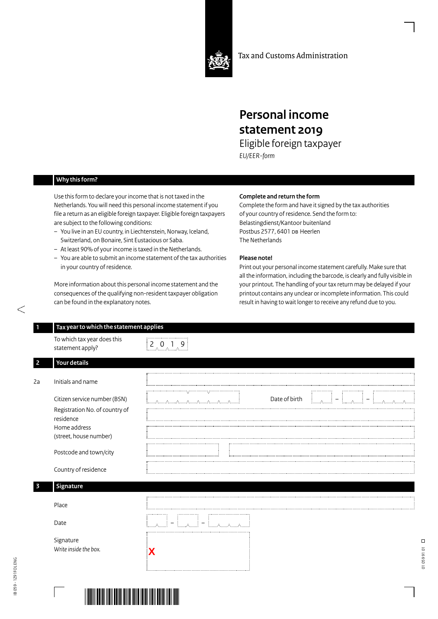

Tax and Customs Administration

# **Personal income statement 2019**

Eligible foreign taxpayer *EU/EER-form*

## **Why this form?**

Use this form to declare your income that is not taxed in the Netherlands. You will need this personal income statement if you file a return as an eligible foreign taxpayer. Eligible foreign taxpayers are subject to the following conditions:

- You live in an EU country, in Liechtenstein, Norway, Iceland, Switzerland, on Bonaire, Sint Eustacious or Saba.
- At least 90% of your income is taxed in the Netherlands.
- You are able to submit an income statement of the tax authorities in your country of residence.

More information about this personal income statement and the consequences of the qualifying non-resident taxpayer obligation can be found in the explanatory notes.

#### **Complete and return the form**

Complete the form and have it signed by the tax authorities of your country of residence. Send the form to: Belastingdienst/Kantoor buitenland Postbus 2577, 6401 DB Heerlen The Netherlands

## **Please note!**

Print out your personal income statement carefully. Make sure that all the information, including the barcode, is clearly and fully visible in your printout. The handling of your tax return may be delayed if your printout contains any unclear or incomplete information. This could result in having to wait longer to receive any refund due to you.

| To which tax year does this<br>statement apply?                             | $\begin{bmatrix} 2 & 0 & 1 & 9 \end{bmatrix}$ |
|-----------------------------------------------------------------------------|-----------------------------------------------|
| Your details                                                                |                                               |
| Initials and name                                                           |                                               |
| Citizen service number (BSN)<br>Registration No. of country of<br>residence | Date of birth<br>$\overline{\phantom{a}}$<br> |
| Home address<br>(street, house number)                                      |                                               |
| Postcode and town/city                                                      |                                               |
| Country of residence                                                        |                                               |
| Signature                                                                   |                                               |
| Place                                                                       |                                               |
| Date                                                                        | = استمسا<br><b>Elizabeth Allie</b>            |
| Signature<br>Write inside the box.                                          |                                               |

**Contractor**